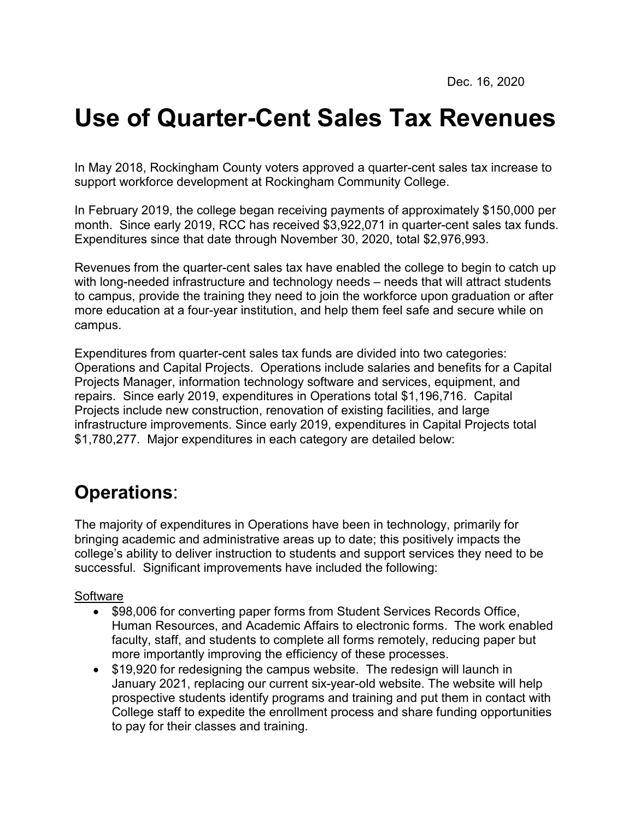# **Use of Quarter-Cent Sales Tax Revenues**

In May 2018, Rockingham County voters approved a quarter-cent sales tax increase to support workforce development at Rockingham Community College.

In February 2019, the college began receiving payments of approximately \$150,000 per month. Since early 2019, RCC has received \$3,922,071 in quarter-cent sales tax funds. Expenditures since that date through November 30, 2020, total \$2,976,993.

Revenues from the quarter-cent sales tax have enabled the college to begin to catch up with long-needed infrastructure and technology needs – needs that will attract students to campus, provide the training they need to join the workforce upon graduation or after more education at a four-year institution, and help them feel safe and secure while on campus.

Expenditures from quarter-cent sales tax funds are divided into two categories: Operations and Capital Projects. Operations include salaries and benefits for a Capital Projects Manager, information technology software and services, equipment, and repairs. Since early 2019, expenditures in Operations total \$1,196,716. Capital Projects include new construction, renovation of existing facilities, and large infrastructure improvements. Since early 2019, expenditures in Capital Projects total \$1,780,277. Major expenditures in each category are detailed below:

# **Operations**:

The majority of expenditures in Operations have been in technology, primarily for bringing academic and administrative areas up to date; this positively impacts the college's ability to deliver instruction to students and support services they need to be successful. Significant improvements have included the following:

#### **Software**

- \$98,006 for converting paper forms from Student Services Records Office, Human Resources, and Academic Affairs to electronic forms. The work enabled faculty, staff, and students to complete all forms remotely, reducing paper but more importantly improving the efficiency of these processes.
- \$19,920 for redesigning the campus website. The redesign will launch in January 2021, replacing our current six-year-old website. The website will help prospective students identify programs and training and put them in contact with College staff to expedite the enrollment process and share funding opportunities to pay for their classes and training.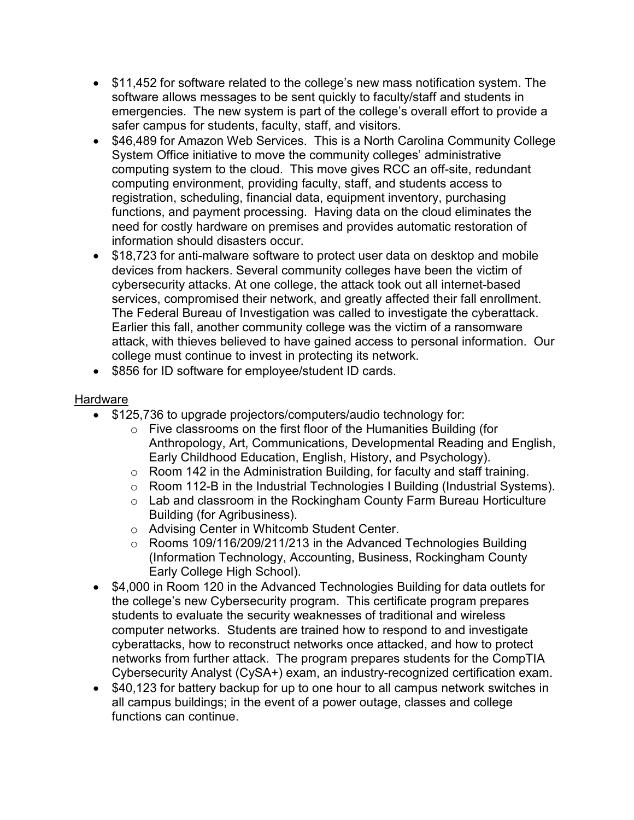- \$11,452 for software related to the college's new mass notification system. The software allows messages to be sent quickly to faculty/staff and students in emergencies. The new system is part of the college's overall effort to provide a safer campus for students, faculty, staff, and visitors.
- \$46,489 for Amazon Web Services. This is a North Carolina Community College System Office initiative to move the community colleges' administrative computing system to the cloud. This move gives RCC an off-site, redundant computing environment, providing faculty, staff, and students access to registration, scheduling, financial data, equipment inventory, purchasing functions, and payment processing. Having data on the cloud eliminates the need for costly hardware on premises and provides automatic restoration of information should disasters occur.
- \$18,723 for anti-malware software to protect user data on desktop and mobile devices from hackers. Several community colleges have been the victim of cybersecurity attacks. At one college, the attack took out all internet-based services, compromised their network, and greatly affected their fall enrollment. The Federal Bureau of Investigation was called to investigate the cyberattack. Earlier this fall, another community college was the victim of a ransomware attack, with thieves believed to have gained access to personal information. Our college must continue to invest in protecting its network.
- \$856 for ID software for employee/student ID cards.

### **Hardware**

- \$125,736 to upgrade projectors/computers/audio technology for:
	- o Five classrooms on the first floor of the Humanities Building (for Anthropology, Art, Communications, Developmental Reading and English, Early Childhood Education, English, History, and Psychology).
	- o Room 142 in the Administration Building, for faculty and staff training.
	- o Room 112-B in the Industrial Technologies I Building (Industrial Systems).
	- o Lab and classroom in the Rockingham County Farm Bureau Horticulture Building (for Agribusiness).
	- o Advising Center in Whitcomb Student Center.
	- o Rooms 109/116/209/211/213 in the Advanced Technologies Building (Information Technology, Accounting, Business, Rockingham County Early College High School).
- \$4,000 in Room 120 in the Advanced Technologies Building for data outlets for the college's new Cybersecurity program. This certificate program prepares students to evaluate the security weaknesses of traditional and wireless computer networks. Students are trained how to respond to and investigate cyberattacks, how to reconstruct networks once attacked, and how to protect networks from further attack. The program prepares students for the CompTIA Cybersecurity Analyst (CySA+) exam, an industry-recognized certification exam.
- \$40,123 for battery backup for up to one hour to all campus network switches in all campus buildings; in the event of a power outage, classes and college functions can continue.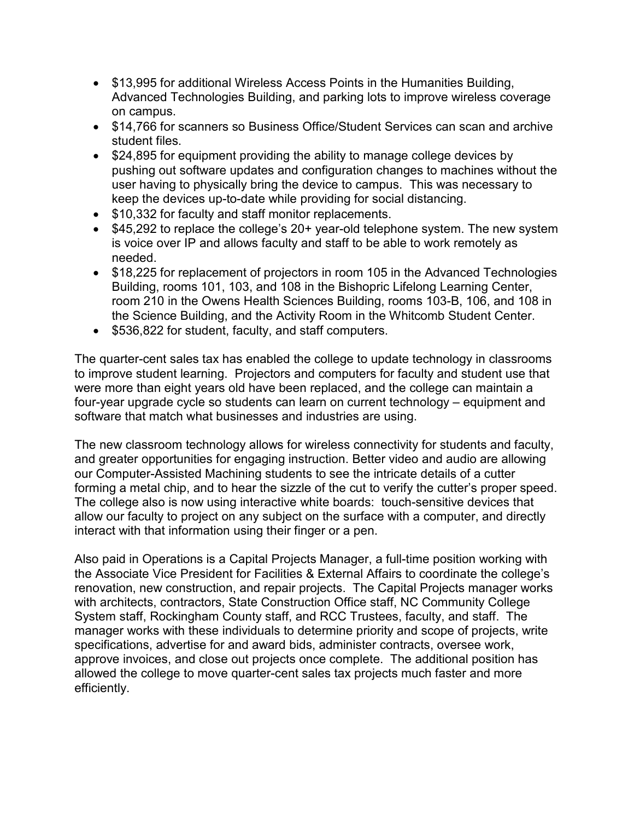- \$13,995 for additional Wireless Access Points in the Humanities Building, Advanced Technologies Building, and parking lots to improve wireless coverage on campus.
- \$14,766 for scanners so Business Office/Student Services can scan and archive student files.
- \$24,895 for equipment providing the ability to manage college devices by pushing out software updates and configuration changes to machines without the user having to physically bring the device to campus. This was necessary to keep the devices up-to-date while providing for social distancing.
- \$10,332 for faculty and staff monitor replacements.
- \$45,292 to replace the college's 20+ year-old telephone system. The new system is voice over IP and allows faculty and staff to be able to work remotely as needed.
- \$18,225 for replacement of projectors in room 105 in the Advanced Technologies Building, rooms 101, 103, and 108 in the Bishopric Lifelong Learning Center, room 210 in the Owens Health Sciences Building, rooms 103-B, 106, and 108 in the Science Building, and the Activity Room in the Whitcomb Student Center.
- \$536,822 for student, faculty, and staff computers.

The quarter-cent sales tax has enabled the college to update technology in classrooms to improve student learning. Projectors and computers for faculty and student use that were more than eight years old have been replaced, and the college can maintain a four-year upgrade cycle so students can learn on current technology – equipment and software that match what businesses and industries are using.

The new classroom technology allows for wireless connectivity for students and faculty, and greater opportunities for engaging instruction. Better video and audio are allowing our Computer-Assisted Machining students to see the intricate details of a cutter forming a metal chip, and to hear the sizzle of the cut to verify the cutter's proper speed. The college also is now using interactive white boards: touch-sensitive devices that allow our faculty to project on any subject on the surface with a computer, and directly interact with that information using their finger or a pen.

Also paid in Operations is a Capital Projects Manager, a full-time position working with the Associate Vice President for Facilities & External Affairs to coordinate the college's renovation, new construction, and repair projects. The Capital Projects manager works with architects, contractors, State Construction Office staff, NC Community College System staff, Rockingham County staff, and RCC Trustees, faculty, and staff. The manager works with these individuals to determine priority and scope of projects, write specifications, advertise for and award bids, administer contracts, oversee work, approve invoices, and close out projects once complete. The additional position has allowed the college to move quarter-cent sales tax projects much faster and more efficiently.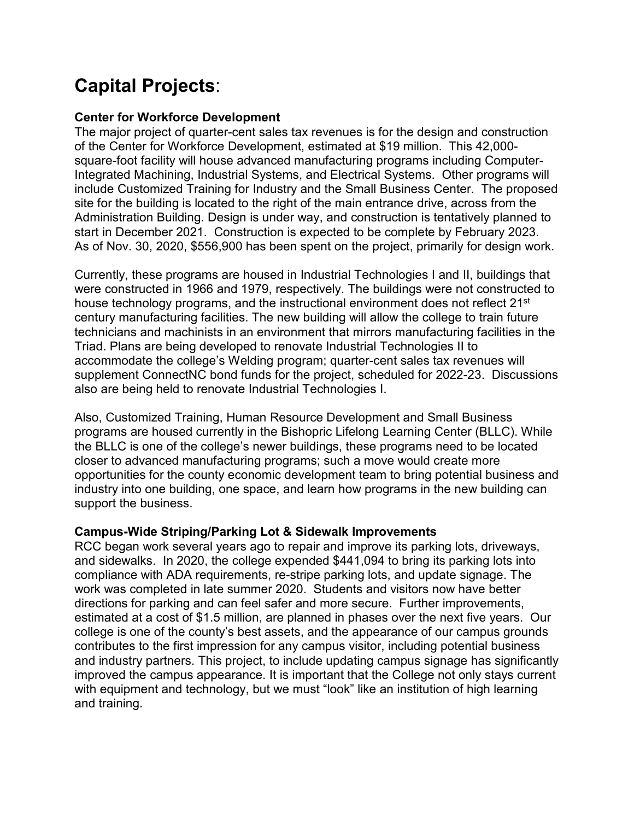# **Capital Projects**:

## **Center for Workforce Development**

The major project of quarter-cent sales tax revenues is for the design and construction of the Center for Workforce Development, estimated at \$19 million. This 42,000 square-foot facility will house advanced manufacturing programs including Computer-Integrated Machining, Industrial Systems, and Electrical Systems. Other programs will include Customized Training for Industry and the Small Business Center. The proposed site for the building is located to the right of the main entrance drive, across from the Administration Building. Design is under way, and construction is tentatively planned to start in December 2021. Construction is expected to be complete by February 2023. As of Nov. 30, 2020, \$556,900 has been spent on the project, primarily for design work.

Currently, these programs are housed in Industrial Technologies I and II, buildings that were constructed in 1966 and 1979, respectively. The buildings were not constructed to house technology programs, and the instructional environment does not reflect 21<sup>st</sup> century manufacturing facilities. The new building will allow the college to train future technicians and machinists in an environment that mirrors manufacturing facilities in the Triad. Plans are being developed to renovate Industrial Technologies II to accommodate the college's Welding program; quarter-cent sales tax revenues will supplement ConnectNC bond funds for the project, scheduled for 2022-23. Discussions also are being held to renovate Industrial Technologies I.

Also, Customized Training, Human Resource Development and Small Business programs are housed currently in the Bishopric Lifelong Learning Center (BLLC). While the BLLC is one of the college's newer buildings, these programs need to be located closer to advanced manufacturing programs; such a move would create more opportunities for the county economic development team to bring potential business and industry into one building, one space, and learn how programs in the new building can support the business.

## **Campus-Wide Striping/Parking Lot & Sidewalk Improvements**

RCC began work several years ago to repair and improve its parking lots, driveways, and sidewalks. In 2020, the college expended \$441,094 to bring its parking lots into compliance with ADA requirements, re-stripe parking lots, and update signage. The work was completed in late summer 2020. Students and visitors now have better directions for parking and can feel safer and more secure. Further improvements, estimated at a cost of \$1.5 million, are planned in phases over the next five years. Our college is one of the county's best assets, and the appearance of our campus grounds contributes to the first impression for any campus visitor, including potential business and industry partners. This project, to include updating campus signage has significantly improved the campus appearance. It is important that the College not only stays current with equipment and technology, but we must "look" like an institution of high learning and training.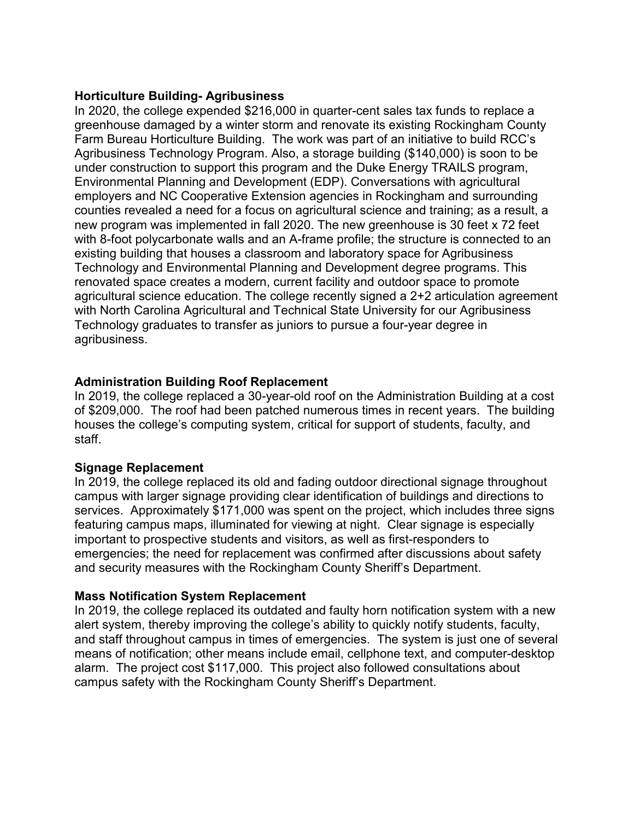#### **Horticulture Building- Agribusiness**

In 2020, the college expended \$216,000 in quarter-cent sales tax funds to replace a greenhouse damaged by a winter storm and renovate its existing Rockingham County Farm Bureau Horticulture Building. The work was part of an initiative to build RCC's Agribusiness Technology Program. Also, a storage building (\$140,000) is soon to be under construction to support this program and the Duke Energy TRAILS program, Environmental Planning and Development (EDP). Conversations with agricultural employers and NC Cooperative Extension agencies in Rockingham and surrounding counties revealed a need for a focus on agricultural science and training; as a result, a new program was implemented in fall 2020. The new greenhouse is 30 feet x 72 feet with 8-foot polycarbonate walls and an A-frame profile; the structure is connected to an existing building that houses a classroom and laboratory space for Agribusiness Technology and Environmental Planning and Development degree programs. This renovated space creates a modern, current facility and outdoor space to promote agricultural science education. The college recently signed a 2+2 articulation agreement with North Carolina Agricultural and Technical State University for our Agribusiness Technology graduates to transfer as juniors to pursue a four-year degree in agribusiness.

#### **Administration Building Roof Replacement**

In 2019, the college replaced a 30-year-old roof on the Administration Building at a cost of \$209,000. The roof had been patched numerous times in recent years. The building houses the college's computing system, critical for support of students, faculty, and staff.

#### **Signage Replacement**

In 2019, the college replaced its old and fading outdoor directional signage throughout campus with larger signage providing clear identification of buildings and directions to services. Approximately \$171,000 was spent on the project, which includes three signs featuring campus maps, illuminated for viewing at night. Clear signage is especially important to prospective students and visitors, as well as first-responders to emergencies; the need for replacement was confirmed after discussions about safety and security measures with the Rockingham County Sheriff's Department.

#### **Mass Notification System Replacement**

In 2019, the college replaced its outdated and faulty horn notification system with a new alert system, thereby improving the college's ability to quickly notify students, faculty, and staff throughout campus in times of emergencies. The system is just one of several means of notification; other means include email, cellphone text, and computer-desktop alarm. The project cost \$117,000. This project also followed consultations about campus safety with the Rockingham County Sheriff's Department.